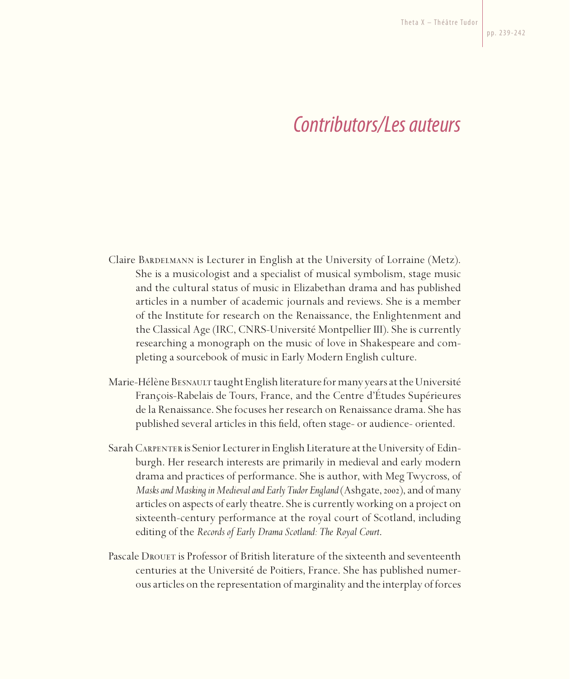## *Contributors/Les auteurs*

- Claire Bardelmann is Lecturer in English at the University of Lorraine (Metz). She is a musicologist and a specialist of musical symbolism, stage music and the cultural status of music in Elizabethan drama and has published articles in a number of academic journals and reviews. She is a member of the Institute for research on the Renaissance, the Enlightenment and the Classical Age (IRC, CNRS-Université Montpellier III). She is currently researching a monograph on the music of love in Shakespeare and completing a sourcebook of music in Early Modern English culture.
- Marie-Hélène Besnault taught English literature for many years at the Université François-Rabelais de Tours, France, and the Centre d'Études Supérieures de la Renaissance. She focuses her research on Renaissance drama. She has published several articles in this field, often stage- or audience- oriented.
- Sarah Carpenter is Senior Lecturer in English Literature at the University of Edinburgh. Her research interests are primarily in medieval and early modern drama and practices of performance. She is author, with Meg Twycross, of *Masks and Masking in Medieval and Early Tudor England* (Ashgate, 2002), and of many articles on aspects of early theatre. She is currently working on a project on sixteenth-century performance at the royal court of Scotland, including editing of the *Records of Early Drama Scotland: The Royal Court*.
- Pascale Drouet is Professor of British literature of the sixteenth and seventeenth centuries at the Université de Poitiers, France. She has published numerous articles on the representation of marginality and the interplay of forces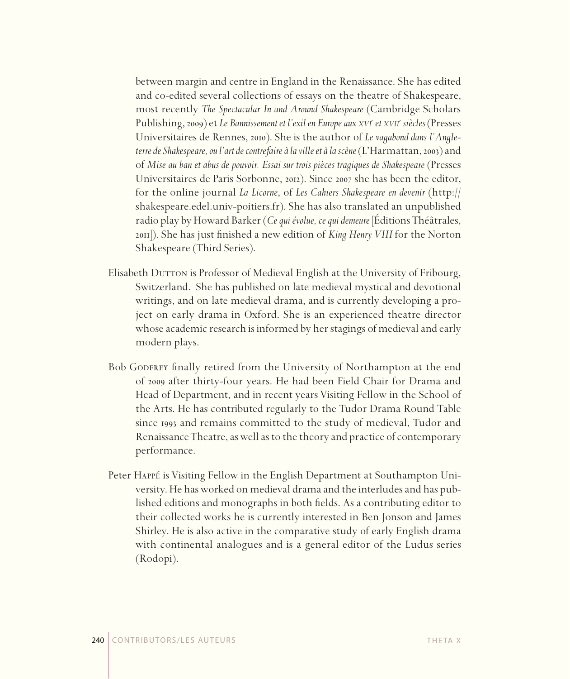between margin and centre in England in the Renaissance. She has edited and co-edited several collections of essays on the theatre of Shakespeare, most recently *The Spectacular In and Around Shakespeare* (Cambridge Scholars Publishing, 2009) et *Le Bannissement et l'exil en Europe aux xvi<sup>e</sup> et xvii<sup>e</sup> siècles* (Presses Universitaires de Rennes, 2010). She is the author of *Le vagabond dans l'Angleterre de Shakespeare, ou l'art de contrefaire à la ville et à la scène* (L'Harmattan, 2003) and of *Mise au ban et abus de pouvoir. Essai sur trois pièces tragiques de Shakespeare* (Presses Universitaires de Paris Sorbonne, 2012). Since 2007 she has been the editor, for the online journal *La Licorne*, of *Les Cahiers Shakespeare en devenir* (http:// shakespeare.edel.univ-poitiers.fr). She has also translated an unpublished radio play by Howard Barker (*Ce qui évolue, ce qui demeure* [Éditions Théâtrales, 2011]). She has just finished a new edition of *King Henry VIII* for the Norton Shakespeare (Third Series).

- Elisabeth Durron is Professor of Medieval English at the University of Fribourg, Switzerland. She has published on late medieval mystical and devotional writings, and on late medieval drama, and is currently developing a project on early drama in Oxford. She is an experienced theatre director whose academic research is informed by her stagings of medieval and early modern plays.
- Bob GODFREY finally retired from the University of Northampton at the end of 2009 after thirty-four years. He had been Field Chair for Drama and Head of Department, and in recent years Visiting Fellow in the School of the Arts. He has contributed regularly to the Tudor Drama Round Table since 1993 and remains committed to the study of medieval, Tudor and Renaissance Theatre, as well as to the theory and practice of contemporary performance.
- Peter Happé is Visiting Fellow in the English Department at Southampton University. He has worked on medieval drama and the interludes and has published editions and monographs in both fields. As a contributing editor to their collected works he is currently interested in Ben Jonson and James Shirley. He is also active in the comparative study of early English drama with continental analogues and is a general editor of the Ludus series (Rodopi).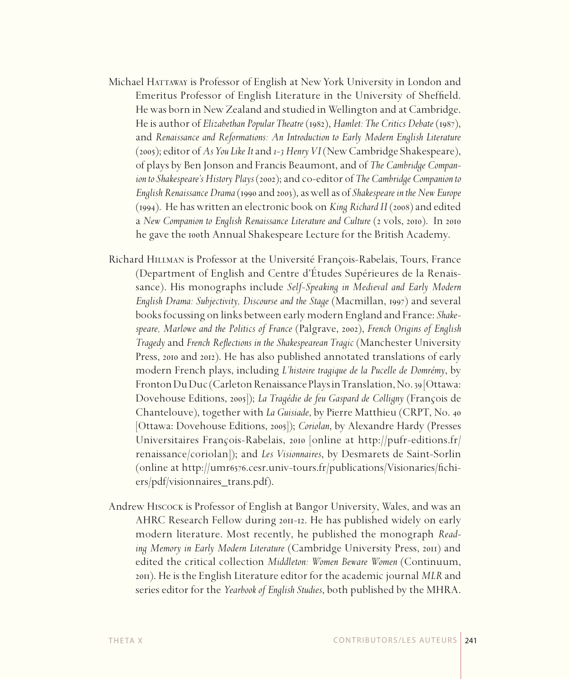- Michael HATTAWAY is Professor of English at New York University in London and Emeritus Professor of English Literature in the University of Sheffield. He was born in New Zealand and studied in Wellington and at Cambridge. He is author of *Elizabethan Popular Theatre* (1982), *Hamlet: The Critics Debate* (1987), and *Renaissance and Reformations: An Introduction to Early Modern English Literature* (2005); editor of *As You Like It* and *1-3 HenryVI* (New Cambridge Shakespeare), of plays by Ben Jonson and Francis Beaumont, and of *The Cambridge Companion to Shakespeare's History Plays* (2002); and co-editor of *The Cambridge Companion to English Renaissance Drama* (1990 and 2003), as well as of *Shakespeare in the New Europe* (1994). He has written an electronic book on *King Richard II* (2008) and edited a *New Companion to English Renaissance Literature and Culture* (2 vols, 2010). In 2010 he gave the 100th Annual Shakespeare Lecture for the British Academy.
- Richard Hillman is Professor at the Université François-Rabelais, Tours, France (Department of English and Centre d'Études Supérieures de la Renaissance). His monographs include *Self-Speaking in Medieval and Early Modern English Drama: Subjectivity, Discourse and the Stage* (Macmillan, 1997) and several books focussing on links between early modern England and France: *Shakespeare, Marlowe and the Politics of France* (Palgrave, 2002), *French Origins of English Tragedy* and *French Reflections in the Shakespearean Tragic* (Manchester University Press, 2010 and 2012). He has also published annotated translations of early modern French plays, including *L'histoire tragique de la Pucelle de Domrémy*, by Fronton Du Duc (Carleton Renaissance Plays in Translation, No. 39 [Ottawa: Dovehouse Editions, 2005]); *La Tragédie de feu Gaspard de Colligny* (François de Chantelouve), together with *La Guisiade*, by Pierre Matthieu (CRPT, No. 40 [Ottawa: Dovehouse Editions, 2005]); *Coriolan*, by Alexandre Hardy (Presses Universitaires François-Rabelais, 2010 [online at http://pufr-editions.fr/ renaissance/coriolan]); and *Les Visionnaires*, by Desmarets de Saint-Sorlin (online at http://umr6576.cesr.univ-tours.fr/publications/Visionaries/fichiers/pdf/visionnaires\_trans.pdf).
- Andrew Hiscock is Professor of English at Bangor University, Wales, and was an AHRC Research Fellow during 2011-12. He has published widely on early modern literature. Most recently, he published the monograph *Reading Memory in Early Modern Literature* (Cambridge University Press, 2011) and edited the critical collection *Middleton: Women Beware Women* (Continuum, 2011). Heis the English Literature editor for the academic journal *MLR* and series editor for the *Yearbook of English Studies*, both published by the MHRA.